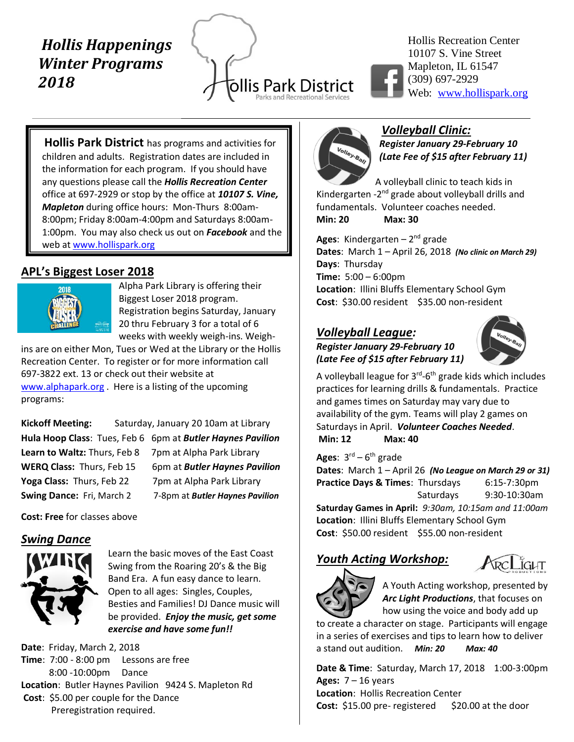# *Hollis Happenings Winter Programs 2018*

ollis Park District Parks and Recreational Service



Hollis Recreation Center 10107 S. Vine Street Mapleton, IL 61547 (309) 697-2929 Web: [www.hollispark.org](http://www.hollispark.org/)

**Hollis Park District** has programs and activities for children and adults. Registration dates are included in the information for each program. If you should have any questions please call the *Hollis Recreation Center* office at 697-2929 or stop by the office at *10107 S. Vine, Mapleton* during office hours: Mon-Thurs 8:00am-8:00pm; Friday 8:00am-4:00pm and Saturdays 8:00am-1:00pm. You may also check us out on *Facebook* and the web at www.hollispark.org

## **APL's Biggest Loser 2018**



Alpha Park Library is offering their Biggest Loser 2018 program. Registration begins Saturday, January 20 thru February 3 for a total of 6 weeks with weekly weigh-ins. Weigh-

ins are on either Mon, Tues or Wed at the Library or the Hollis Recreation Center. To register or for more information call 697-3822 ext. 13 or check out their website at [www.alphapark.org](http://www.alphapark.org/). Here is a listing of the upcoming programs:

**Kickoff Meeting:** Saturday, January 20 10am at Library Learn to Waltz: Thurs, Feb 8 7pm at Alpha Park Library **Yoga Class:** Thurs, Feb 22 7pm at Alpha Park Library **Swing Dance:** Fri, March 2 7-8pm at *Butler Haynes Pavilion*

**Hula Hoop Class**: Tues, Feb 6 6pm at *Butler Haynes Pavilion* **WERQ Class:** Thurs, Feb 15 6pm at *Butler Haynes Pavilion*

**Cost: Free** for classes above

## *Swing Dance*



Learn the basic moves of the East Coast Swing from the Roaring 20's & the Big Band Era. A fun easy dance to learn. Open to all ages: Singles, Couples, Besties and Families! DJ Dance music will be provided. *Enjoy the music, get some exercise and have some fun!!*

**Date**: Friday, March 2, 2018 **Time**: 7:00 - 8:00 pm Lessons are free 8:00 -10:00pm Dance **Location**: Butler Haynes Pavilion 9424 S. Mapleton Rd **Cost**: \$5.00 per couple for the Dance Preregistration required.



#### *Volleyball Clinic: Register January 29-February 10*

*(Late Fee of \$15 after February 11)*

A volleyball clinic to teach kids in Kindergarten -2<sup>nd</sup> grade about volleyball drills and fundamentals. Volunteer coaches needed. **Min: 20 Max: 30**

**Ages**: Kindergarten – 2<sup>nd</sup> grade **Dates**: March 1 – April 26, 2018 *(No clinic on March 29)* **Days**: Thursday **Time:** 5:00 – 6:00pm **Location**: Illini Bluffs Elementary School Gym Cost: \$30.00 resident \$35.00 non-resident

## *Volleyball League:*

#### *Register January 29-February 10 (Late Fee of \$15 after February 11)*



A volleyball league for 3<sup>rd</sup>-6<sup>th</sup> grade kids which includes practices for learning drills & fundamentals. Practice and games times on Saturday may vary due to availability of the gym. Teams will play 2 games on Saturdays in April. *Volunteer Coaches Needed*. **Min: 12 Max: 40**

**Ages**: 3 rd – 6 th grade

**Dates**: March 1 – April 26 *(No League on March 29 or 31)* **Practice Days & Times**: Thursdays 6:15-7:30pm Saturdays 9:30-10:30am **Saturday Games in April:** *9:30am, 10:15am and 11:00am*

**Location**: Illini Bluffs Elementary School Gym Cost: \$50.00 resident \$55.00 non-resident

## *Youth Acting Workshop:*

**IGLIT** 

A Youth Acting workshop, presented by *Arc Light Productions*, that focuses on how using the voice and body add up

to create a character on stage. Participants will engage in a series of exercises and tips to learn how to deliver a stand out audition. *Min: 20 Max: 40*

**Date & Time**: Saturday, March 17, 2018 1:00-3:00pm **Ages:** 7 – 16 years **Location**: Hollis Recreation Center **Cost:** \$15.00 pre- registered \$20.00 at the door